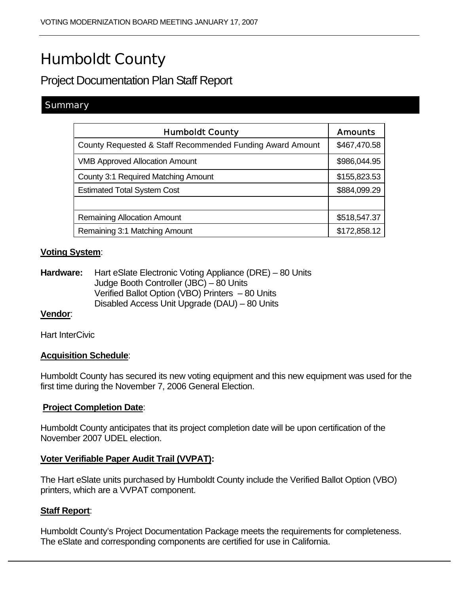# Humboldt County

# Project Documentation Plan Staff Report

## **Summary**

| <b>Humboldt County</b>                                    | <b>Amounts</b> |
|-----------------------------------------------------------|----------------|
| County Requested & Staff Recommended Funding Award Amount | \$467,470.58   |
| <b>VMB Approved Allocation Amount</b>                     | \$986,044.95   |
| County 3:1 Required Matching Amount                       | \$155,823.53   |
| <b>Estimated Total System Cost</b>                        | \$884,099.29   |
|                                                           |                |
| <b>Remaining Allocation Amount</b>                        | \$518,547.37   |
| Remaining 3:1 Matching Amount                             | \$172,858.12   |

### **Voting System**:

**Hardware:** Hart eSlate Electronic Voting Appliance (DRE) – 80 Units Judge Booth Controller (JBC) – 80 Units Verified Ballot Option (VBO) Printers – 80 Units Disabled Access Unit Upgrade (DAU) – 80 Units

#### **Vendor**:

Hart InterCivic

#### **Acquisition Schedule**:

Humboldt County has secured its new voting equipment and this new equipment was used for the first time during the November 7, 2006 General Election.

#### **Project Completion Date**:

Humboldt County anticipates that its project completion date will be upon certification of the November 2007 UDEL election.

#### **Voter Verifiable Paper Audit Trail (VVPAT):**

The Hart eSlate units purchased by Humboldt County include the Verified Ballot Option (VBO) printers, which are a VVPAT component.

#### **Staff Report**:

Humboldt County's Project Documentation Package meets the requirements for completeness. The eSlate and corresponding components are certified for use in California.